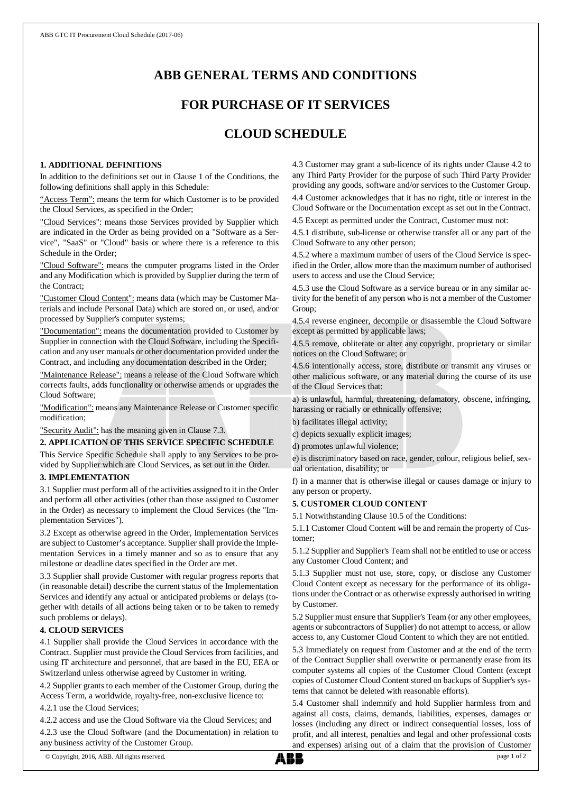# **ABB GENERAL TERMS AND CONDITIONS**

# **FOR PURCHASE OF IT SERVICES**

# **CLOUD SCHEDULE**

## **1. ADDITIONAL DEFINITIONS**

In addition to the definitions set out in Clause 1 of the Conditions, the following definitions shall apply in this Schedule:

"Access Term": means the term for which Customer is to be provided the Cloud Services, as specified in the Order;

"Cloud Services": means those Services provided by Supplier which are indicated in the Order as being provided on a "Software as a Service", "SaaS" or "Cloud" basis or where there is a reference to this Schedule in the Order;

"Cloud Software": means the computer programs listed in the Order and any Modification which is provided by Supplier during the term of the Contract;

"Customer Cloud Content": means data (which may be Customer Materials and include Personal Data) which are stored on, or used, and/or processed by Supplier's computer systems;

"Documentation": means the documentation provided to Customer by Supplier in connection with the Cloud Software, including the Specification and any user manuals or other documentation provided under the Contract, and including any documentation described in the Order;

"Maintenance Release": means a release of the Cloud Software which corrects faults, adds functionality or otherwise amends or upgrades the Cloud Software;

"Modification": means any Maintenance Release or Customer specific modification;

"Security Audit": has the meaning given in Clause 7.3.

## **2. APPLICATION OF THIS SERVICE SPECIFIC SCHEDULE**

This Service Specific Schedule shall apply to any Services to be provided by Supplier which are Cloud Services, as set out in the Order.

#### **3. IMPLEMENTATION**

3.1 Supplier must perform all of the activities assigned to it in the Order and perform all other activities (other than those assigned to Customer in the Order) as necessary to implement the Cloud Services (the "Implementation Services").

3.2 Except as otherwise agreed in the Order, Implementation Services are subject to Customer's acceptance. Supplier shall provide the Implementation Services in a timely manner and so as to ensure that any milestone or deadline dates specified in the Order are met.

3.3 Supplier shall provide Customer with regular progress reports that (in reasonable detail) describe the current status of the Implementation Services and identify any actual or anticipated problems or delays (together with details of all actions being taken or to be taken to remedy such problems or delays).

#### **4. CLOUD SERVICES**

4.1 Supplier shall provide the Cloud Services in accordance with the Contract. Supplier must provide the Cloud Services from facilities, and using IT architecture and personnel, that are based in the EU, EEA or Switzerland unless otherwise agreed by Customer in writing.

4.2 Supplier grants to each member of the Customer Group, during the Access Term, a worldwide, royalty-free, non-exclusive licence to:

4.2.1 use the Cloud Services;

4.2.2 access and use the Cloud Software via the Cloud Services; and

4.2.3 use the Cloud Software (and the Documentation) in relation to any business activity of the Customer Group.

4.3 Customer may grant a sub-licence of its rights under Clause 4.2 to any Third Party Provider for the purpose of such Third Party Provider providing any goods, software and/or services to the Customer Group.

4.4 Customer acknowledges that it has no right, title or interest in the Cloud Software or the Documentation except as set out in the Contract.

4.5 Except as permitted under the Contract, Customer must not:

4.5.1 distribute, sub-license or otherwise transfer all or any part of the Cloud Software to any other person;

4.5.2 where a maximum number of users of the Cloud Service is specified in the Order, allow more than the maximum number of authorised users to access and use the Cloud Service;

4.5.3 use the Cloud Software as a service bureau or in any similar activity for the benefit of any person who is not a member of the Customer Group;

4.5.4 reverse engineer, decompile or disassemble the Cloud Software except as permitted by applicable laws;

4.5.5 remove, obliterate or alter any copyright, proprietary or similar notices on the Cloud Software; or

4.5.6 intentionally access, store, distribute or transmit any viruses or other malicious software, or any material during the course of its use of the Cloud Services that:

a) is unlawful, harmful, threatening, defamatory, obscene, infringing, harassing or racially or ethnically offensive;

b) facilitates illegal activity;

c) depicts sexually explicit images;

d) promotes unlawful violence;

e) is discriminatory based on race, gender, colour, religious belief, sexual orientation, disability; or

f) in a manner that is otherwise illegal or causes damage or injury to any person or property.

## **5. CUSTOMER CLOUD CONTENT**

5.1 Notwithstanding Clause 10.5 of the Conditions:

5.1.1 Customer Cloud Content will be and remain the property of Customer;

5.1.2 Supplier and Supplier's Team shall not be entitled to use or access any Customer Cloud Content; and

5.1.3 Supplier must not use, store, copy, or disclose any Customer Cloud Content except as necessary for the performance of its obligations under the Contract or as otherwise expressly authorised in writing by Customer.

5.2 Supplier must ensure that Supplier's Team (or any other employees, agents or subcontractors of Supplier) do not attempt to access, or allow access to, any Customer Cloud Content to which they are not entitled.

5.3 Immediately on request from Customer and at the end of the term of the Contract Supplier shall overwrite or permanently erase from its computer systems all copies of the Customer Cloud Content (except copies of Customer Cloud Content stored on backups of Supplier's systems that cannot be deleted with reasonable efforts).

5.4 Customer shall indemnify and hold Supplier harmless from and against all costs, claims, demands, liabilities, expenses, damages or losses (including any direct or indirect consequential losses, loss of profit, and all interest, penalties and legal and other professional costs and expenses) arising out of a claim that the provision of Customer